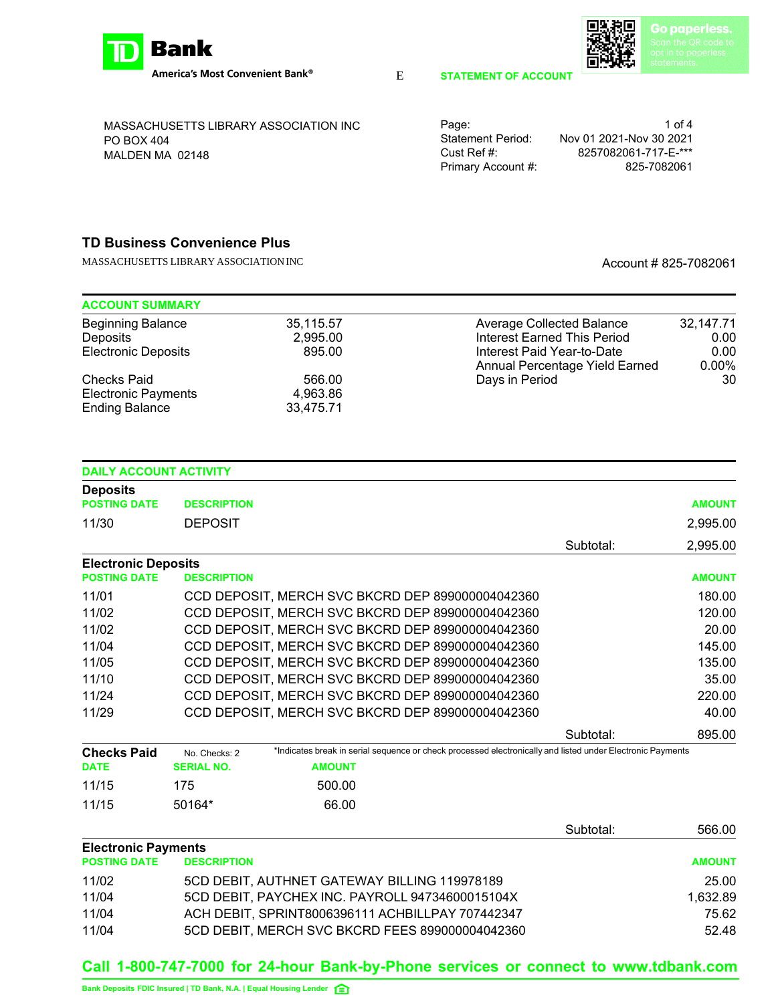

E

MASSACHUSETTS LIBRARY ASSOCIATION INC PO BOX 404 MALDEN MA 02148

| Page:              | 1 of 4                  |
|--------------------|-------------------------|
| Statement Period:  | Nov 01 2021-Nov 30 2021 |
| Cust Ref #:        | 8257082061-717-F-***    |
| Primary Account #: | 825-7082061             |

**STATEMENT OF ACCOUNT**

## **TD Business Convenience Plus**

MASSACHUSETTS LIBRARY ASSOCIATION INC<br>
Account # 825-7082061

| <b>ACCOUNT SUMMARY</b>     |           |                                  |           |
|----------------------------|-----------|----------------------------------|-----------|
| <b>Beginning Balance</b>   | 35,115.57 | <b>Average Collected Balance</b> | 32,147.71 |
| Deposits                   | 2.995.00  | Interest Earned This Period      | 0.00      |
| <b>Electronic Deposits</b> | 895.00    | Interest Paid Year-to-Date       | 0.00      |
|                            |           | Annual Percentage Yield Earned   | $0.00\%$  |
| <b>Checks Paid</b>         | 566.00    | Days in Period                   | 30        |
| <b>Electronic Payments</b> | 4.963.86  |                                  |           |
| <b>Ending Balance</b>      | 33,475.71 |                                  |           |

| <b>DAILY ACCOUNT ACTIVITY</b> |                    |                                                                                                            |           |               |
|-------------------------------|--------------------|------------------------------------------------------------------------------------------------------------|-----------|---------------|
| <b>Deposits</b>               |                    |                                                                                                            |           |               |
| <b>POSTING DATE</b>           | <b>DESCRIPTION</b> |                                                                                                            |           | <b>AMOUNT</b> |
| 11/30                         | <b>DEPOSIT</b>     |                                                                                                            |           | 2,995.00      |
|                               |                    |                                                                                                            | Subtotal: | 2,995.00      |
| <b>Electronic Deposits</b>    |                    |                                                                                                            |           |               |
| <b>POSTING DATE</b>           | <b>DESCRIPTION</b> |                                                                                                            |           | <b>AMOUNT</b> |
| 11/01                         |                    | CCD DEPOSIT, MERCH SVC BKCRD DEP 899000004042360                                                           |           | 180.00        |
| 11/02                         |                    | CCD DEPOSIT, MERCH SVC BKCRD DEP 899000004042360                                                           |           | 120.00        |
| 11/02                         |                    | CCD DEPOSIT, MERCH SVC BKCRD DEP 899000004042360                                                           |           | 20.00         |
| 11/04                         |                    | CCD DEPOSIT, MERCH SVC BKCRD DEP 899000004042360                                                           |           | 145.00        |
| 11/05                         |                    | CCD DEPOSIT, MERCH SVC BKCRD DEP 899000004042360                                                           |           | 135.00        |
| 11/10                         |                    | CCD DEPOSIT, MERCH SVC BKCRD DEP 899000004042360                                                           |           | 35.00         |
| 11/24                         |                    | CCD DEPOSIT, MERCH SVC BKCRD DEP 899000004042360                                                           |           | 220.00        |
| 11/29                         |                    | CCD DEPOSIT, MERCH SVC BKCRD DEP 899000004042360                                                           |           | 40.00         |
|                               |                    |                                                                                                            | Subtotal: | 895.00        |
| <b>Checks Paid</b>            | No. Checks: 2      | *Indicates break in serial sequence or check processed electronically and listed under Electronic Payments |           |               |
| <b>DATE</b>                   | <b>SERIAL NO.</b>  | <b>AMOUNT</b>                                                                                              |           |               |
| 11/15                         | 175                | 500.00                                                                                                     |           |               |
| 11/15                         | 50164*             | 66.00                                                                                                      |           |               |
|                               |                    |                                                                                                            | Subtotal: | 566.00        |
| <b>Electronic Payments</b>    |                    |                                                                                                            |           |               |
| <b>POSTING DATE</b>           | <b>DESCRIPTION</b> |                                                                                                            |           | <b>AMOUNT</b> |
| 11/02                         |                    | 5CD DEBIT, AUTHNET GATEWAY BILLING 119978189                                                               |           | 25.00         |
| 11/04                         |                    | 5CD DEBIT, PAYCHEX INC. PAYROLL 94734600015104X                                                            |           | 1,632.89      |
| 11/04                         |                    | ACH DEBIT, SPRINT8006396111 ACHBILLPAY 707442347                                                           |           | 75.62         |

# 11/04 5CD DEBIT, MERCH SVC BKCRD FEES 899000004042360 52.48

## **Call 1-800-747-7000 for 24-hour Bank-by-Phone services or connect to www.tdbank.com**

**xxxxxx Bank Deposits FDIC Insured | TD Bank, N.A. | Equal Housing Lender**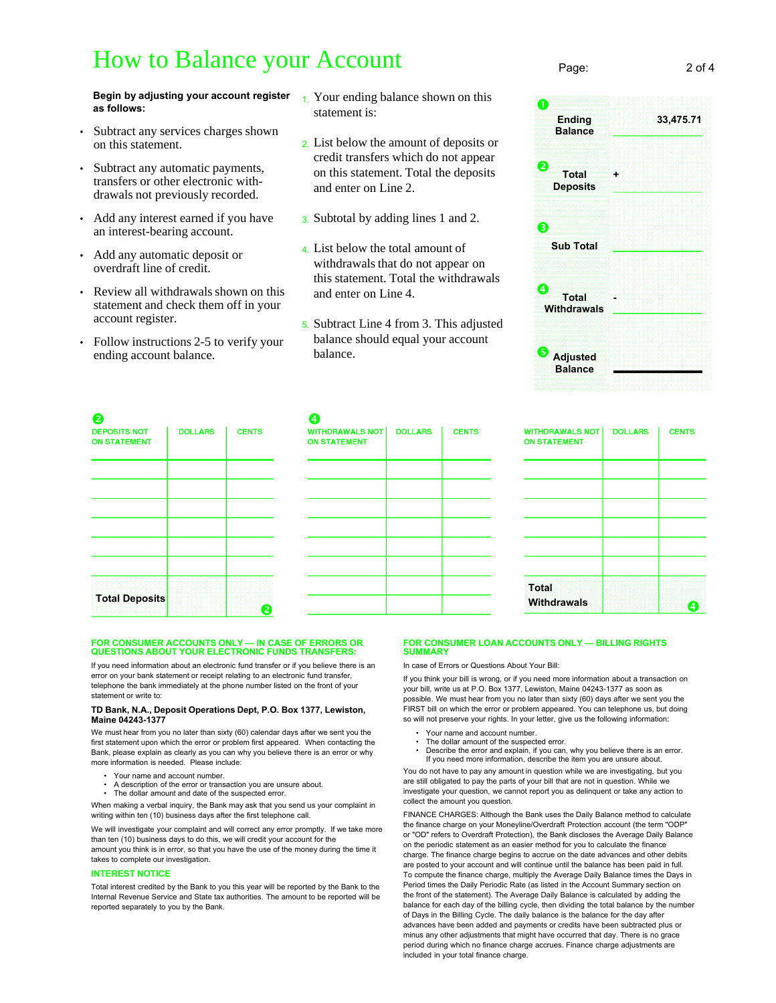## How to Balance your Account

**Begin by adjusting your account register** 1. Your ending balance shown on this **as follows:**

- Subtract any services charges shown on this statement.
- Subtract any automatic payments, transfers or other electronic withdrawals not previously recorded.
- Add any interest earned if you have an interest-bearing account.
- Add any automatic deposit or overdraft line of credit.
- Review all withdrawals shown on this statement and check them off in your account register.
- Follow instructions 2-5 to verify your ending account balance.
- statement is:
- 2. List below the amount of deposits or credit transfers which do not appear on this statement. Total the deposits and enter on Line 2.
- 3. Subtotal by adding lines 1 and 2.
- 4. List below the total amount of withdrawals that do not appear on this statement. Total the withdrawals and enter on Line 4.
- 5. Subtract Line 4 from 3. This adjusted balance should equal your account balance.



Page: 2 of 4

| 2<br><b>DEPOSITS NOT</b><br><b>ON STATEMENT</b> | <b>DOLLARS</b> | <b>CENTS</b> |
|-------------------------------------------------|----------------|--------------|
|                                                 |                |              |
|                                                 |                |              |
|                                                 |                |              |
|                                                 |                |              |
| <b>Total Deposits</b>                           |                | ╱            |

| 4.<br><b>WITHDRAWALS NOT</b><br><b>ON STATEMENT</b> | <b>DOLLARS</b> | <b>CENTS</b> |
|-----------------------------------------------------|----------------|--------------|
|                                                     |                |              |
|                                                     |                |              |
|                                                     |                |              |
|                                                     |                |              |
|                                                     |                |              |
|                                                     |                |              |

| WITHDRAWALS NOT  <br><b>ON STATEMENT</b> | <b>DOLLARS</b> | <b>CENTS</b> |
|------------------------------------------|----------------|--------------|
|                                          |                |              |
|                                          |                |              |
|                                          |                |              |
|                                          |                |              |
|                                          |                |              |
|                                          |                |              |
| <b>Total</b><br><b>Withdrawals</b>       |                |              |

## **FOR CONSUMER ACCOUNTS ONLY — IN CASE OF ERRORS OR QUESTIONS ABOUT YOUR ELECTRONIC FUNDS TRANSFERS:**

If you need information about an electronic fund transfer or if you believe there is an error on your bank statement or receipt relating to an electronic fund transfer, telephone the bank immediately at the phone number listed on the front of your statement or write to:

#### **TD Bank, N.A., Deposit Operations Dept, P.O. Box 1377, Lewiston, Maine 04243-1377**

We must hear from you no later than sixty (60) calendar days after we sent you the first statement upon which the error or problem first appeared. When contacting the Bank, please explain as clearly as you can why you believe there is an error or why more information is needed. Please include:

- Your name and account number.
- A description of the error or transaction you are unsure about. The dollar amount and date of the suspected error.

When making a verbal inquiry, the Bank may ask that you send us your complaint in writing within ten (10) business days after the first telephone call.

We will investigate your complaint and will correct any error promptly. If we take more than ten (10) business days to do this, we will credit your account for the amount you think is in error, so that you have the use of the money during the time it takes to complete our investigation.

#### **INTEREST NOTICE**

Total interest credited by the Bank to you this year will be reported by the Bank to the Internal Revenue Service and State tax authorities. The amount to be reported will be reported separately to you by the Bank.

#### **FOR CONSUMER LOAN ACCOUNTS ONLY — BILLING RIGHTS SUMMARY**

In case of Errors or Questions About Your Bill:

If you think your bill is wrong, or if you need more information about a transaction on your bill, write us at P.O. Box 1377, Lewiston, Maine 04243-1377 as soon as possible. We must hear from you no later than sixty (60) days after we sent you the .<br>FIRST bill on which the error or problem appeared. You can telephone us, but doing so will not preserve your rights. In your letter, give us the following information:

- Your name and account number.
- The dollar amount of the suspected error.
- Describe the error and explain, if you can, why you believe there is an error. If you need more information, describe the item you are unsure about.

You do not have to pay any amount in question while we are investigating, but you are still obligated to pay the parts of your bill that are not in question. While we investigate your question, we cannot report you as delinquent or take any action to collect the amount you question.

FINANCE CHARGES: Although the Bank uses the Daily Balance method to calculate the finance charge on your Moneyline/Overdraft Protection account (the term "ODP" or "OD" refers to Overdraft Protection), the Bank discloses the Average Daily Balance on the periodic statement as an easier method for you to calculate the finance charge. The finance charge begins to accrue on the date advances and other debits are posted to your account and will continue until the balance has been paid in full. To compute the finance charge, multiply the Average Daily Balance times the Days in Period times the Daily Periodic Rate (as listed in the Account Summary section on the front of the statement). The Average Daily Balance is calculated by adding the balance for each day of the billing cycle, then dividing the total balance by the number of Days in the Billing Cycle. The daily balance is the balance for the day after advances have been added and payments or credits have been subtracted plus or minus any other adjustments that might have occurred that day. There is no grace period during which no finance charge accrues. Finance charge adjustments are included in your total finance charge.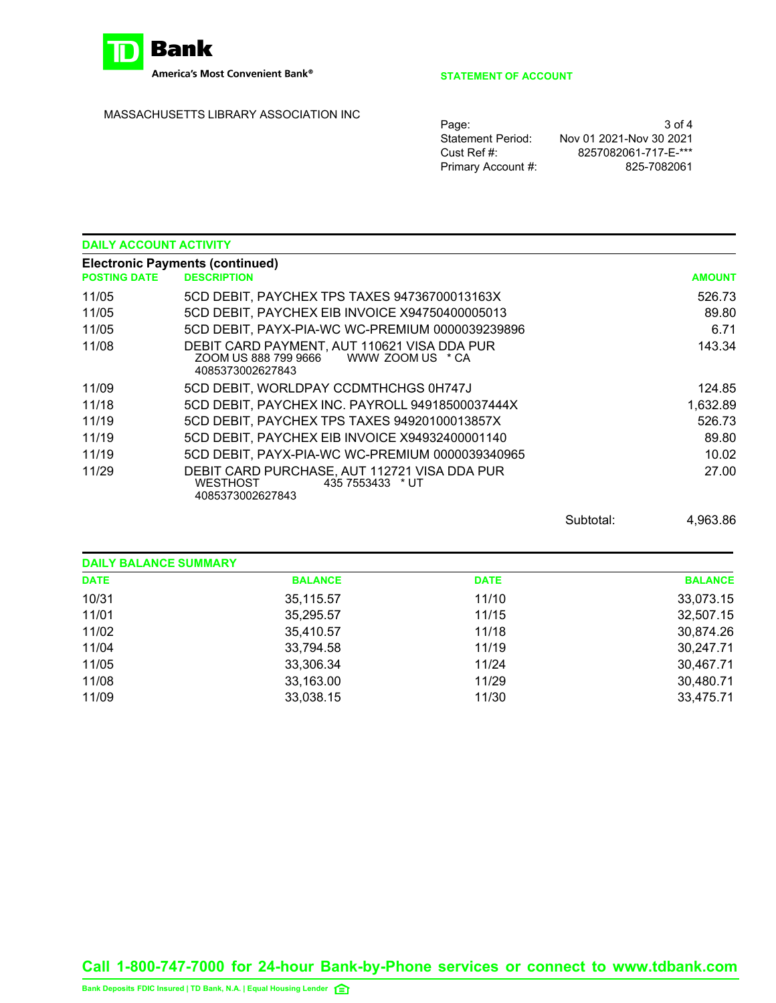

America's Most Convenient Bank®

## MASSACHUSETTS LIBRARY ASSOCIATION INC

### **STATEMENT OF ACCOUNT**

| 3 of 4                  |
|-------------------------|
| Nov 01 2021-Nov 30 2021 |
| 8257082061-717-F-***    |
| 825-7082061             |
|                         |

| <b>DAILY ACCOUNT ACTIVITY</b> |                                                                                                  |               |
|-------------------------------|--------------------------------------------------------------------------------------------------|---------------|
| <b>POSTING DATE</b>           | <b>Electronic Payments (continued)</b><br><b>DESCRIPTION</b>                                     | <b>AMOUNT</b> |
| 11/05                         | 5CD DEBIT, PAYCHEX TPS TAXES 94736700013163X                                                     | 526.73        |
| 11/05                         | 5CD DEBIT, PAYCHEX EIB INVOICE X94750400005013                                                   | 89.80         |
| 11/05                         | 5CD DEBIT, PAYX-PIA-WC WC-PREMIUM 0000039239896                                                  | 6.71          |
| 11/08                         | DEBIT CARD PAYMENT, AUT 110621 VISA DDA PUR<br>4085373002627843                                  | 143.34        |
| 11/09                         | 5CD DEBIT, WORLDPAY CCDMTHCHGS 0H747J                                                            | 124.85        |
| 11/18                         | 5CD DEBIT, PAYCHEX INC. PAYROLL 94918500037444X                                                  | 1,632.89      |
| 11/19                         | 5CD DEBIT, PAYCHEX TPS TAXES 94920100013857X                                                     | 526.73        |
| 11/19                         | 5CD DEBIT, PAYCHEX EIB INVOICE X94932400001140                                                   | 89.80         |
| 11/19                         | 5CD DEBIT, PAYX-PIA-WC WC-PREMIUM 0000039340965                                                  | 10.02         |
| 11/29                         | DEBIT CARD PURCHASE, AUT 112721 VISA DDA PUR<br>WESTHOST<br>435 7553433 * UT<br>4085373002627843 | 27.00         |

Subtotal: 4,963.86

| <b>DAILY BALANCE SUMMARY</b> |                |             |                |
|------------------------------|----------------|-------------|----------------|
| <b>DATE</b>                  | <b>BALANCE</b> | <b>DATE</b> | <b>BALANCE</b> |
| 10/31                        | 35,115.57      | 11/10       | 33,073.15      |
| 11/01                        | 35,295.57      | 11/15       | 32,507.15      |
| 11/02                        | 35,410.57      | 11/18       | 30,874.26      |
| 11/04                        | 33,794.58      | 11/19       | 30,247.71      |
| 11/05                        | 33,306.34      | 11/24       | 30,467.71      |
| 11/08                        | 33,163.00      | 11/29       | 30,480.71      |
| 11/09                        | 33,038.15      | 11/30       | 33,475.71      |

**Call 1-800-747-7000 for 24-hour Bank-by-Phone services or connect to www.tdbank.com**